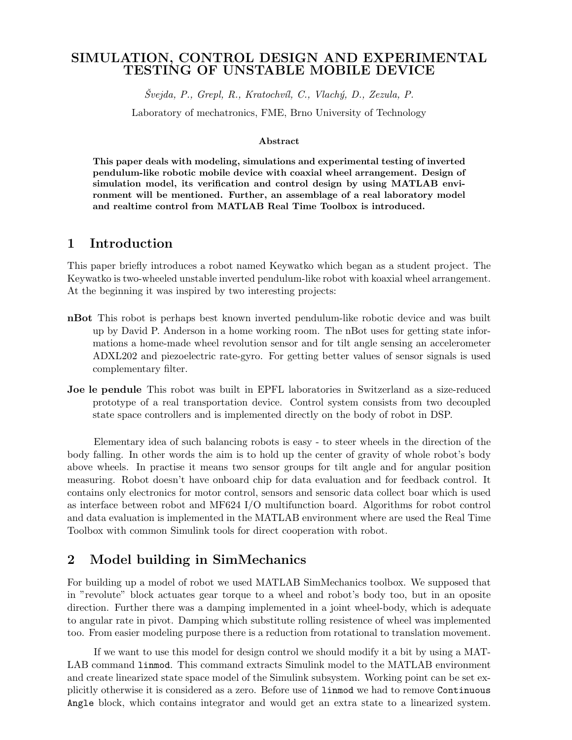## SIMULATION, CONTROL DESIGN AND EXPERIMENTAL TESTING OF UNSTABLE MOBILE DEVICE

 $\check{S}vejda, P., \; Grepl, R., \; Kratochvil, C., \; Vlachý, D., \; Zezula, P.$ 

Laboratory of mechatronics, FME, Brno University of Technology

#### Abstract

This paper deals with modeling, simulations and experimental testing of inverted pendulum-like robotic mobile device with coaxial wheel arrangement. Design of simulation model, its verification and control design by using MATLAB environment will be mentioned. Further, an assemblage of a real laboratory model and realtime control from MATLAB Real Time Toolbox is introduced.

### 1 Introduction

This paper briefly introduces a robot named Keywatko which began as a student project. The Keywatko is two-wheeled unstable inverted pendulum-like robot with koaxial wheel arrangement. At the beginning it was inspired by two interesting projects:

- nBot This robot is perhaps best known inverted pendulum-like robotic device and was built up by David P. Anderson in a home working room. The nBot uses for getting state informations a home-made wheel revolution sensor and for tilt angle sensing an accelerometer ADXL202 and piezoelectric rate-gyro. For getting better values of sensor signals is used complementary filter.
- Joe le pendule This robot was built in EPFL laboratories in Switzerland as a size-reduced prototype of a real transportation device. Control system consists from two decoupled state space controllers and is implemented directly on the body of robot in DSP.

Elementary idea of such balancing robots is easy - to steer wheels in the direction of the body falling. In other words the aim is to hold up the center of gravity of whole robot's body above wheels. In practise it means two sensor groups for tilt angle and for angular position measuring. Robot doesn't have onboard chip for data evaluation and for feedback control. It contains only electronics for motor control, sensors and sensoric data collect boar which is used as interface between robot and MF624 I/O multifunction board. Algorithms for robot control and data evaluation is implemented in the MATLAB environment where are used the Real Time Toolbox with common Simulink tools for direct cooperation with robot.

# 2 Model building in SimMechanics

For building up a model of robot we used MATLAB SimMechanics toolbox. We supposed that in "revolute" block actuates gear torque to a wheel and robot's body too, but in an oposite direction. Further there was a damping implemented in a joint wheel-body, which is adequate to angular rate in pivot. Damping which substitute rolling resistence of wheel was implemented too. From easier modeling purpose there is a reduction from rotational to translation movement.

If we want to use this model for design control we should modify it a bit by using a MAT-LAB command linmod. This command extracts Simulink model to the MATLAB environment and create linearized state space model of the Simulink subsystem. Working point can be set explicitly otherwise it is considered as a zero. Before use of linmod we had to remove Continuous Angle block, which contains integrator and would get an extra state to a linearized system.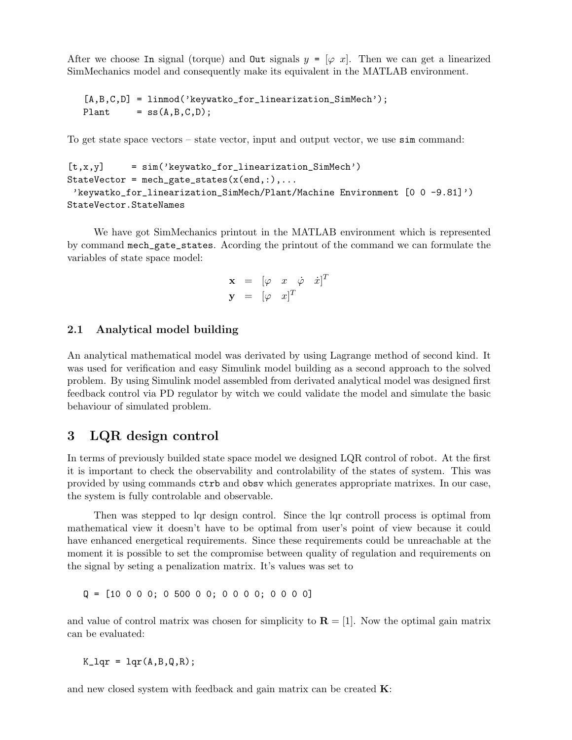After we choose In signal (torque) and  $\mathbf{Out}$  signals  $y = [\varphi \ x]$ . Then we can get a linearized SimMechanics model and consequently make its equivalent in the MATLAB environment.

```
[A, B, C, D] = \text{limmod}('keywatko_for_linearization_SimMech');Plant = ss(A,B,C,D);
```
To get state space vectors – state vector, input and output vector, we use sim command:

```
[t, x, y] = \sin<sup>'</sup> keywatko_for_linearization_SimMech')
StateVector = mech_gate_states(x(end,:),...'keywatko_for_linearization_SimMech/Plant/Machine Environment [0 0 -9.81]')
StateVector.StateNames
```
We have got SimMechanics printout in the MATLAB environment which is represented by command mech\_gate\_states. Acording the printout of the command we can formulate the variables of state space model:

$$
\begin{array}{rcl}\n\mathbf{x} & = & [\varphi & x & \dot{\varphi} & \dot{x}]^T \\
\mathbf{y} & = & [\varphi & x]^T\n\end{array}
$$

#### 2.1 Analytical model building

An analytical mathematical model was derivated by using Lagrange method of second kind. It was used for verification and easy Simulink model building as a second approach to the solved problem. By using Simulink model assembled from derivated analytical model was designed first feedback control via PD regulator by witch we could validate the model and simulate the basic behaviour of simulated problem.

## 3 LQR design control

In terms of previously builded state space model we designed LQR control of robot. At the first it is important to check the observability and controlability of the states of system. This was provided by using commands ctrb and obsv which generates appropriate matrixes. In our case, the system is fully controlable and observable.

Then was stepped to lqr design control. Since the lqr controll process is optimal from mathematical view it doesn't have to be optimal from user's point of view because it could have enhanced energetical requirements. Since these requirements could be unreachable at the moment it is possible to set the compromise between quality of regulation and requirements on the signal by seting a penalization matrix. It's values was set to

 $Q = [10 \ 0 \ 0 \ 0; \ 0 \ 500 \ 0 \ 0; \ 0 \ 0 \ 0 \ 0; \ 0 \ 0 \ 0 \ 0]$ 

and value of control matrix was chosen for simplicity to  $\mathbf{R} = [1]$ . Now the optimal gain matrix can be evaluated:

 $K_{\text{a}} = \text{1qr}(A, B, Q, R);$ 

and new closed system with feedback and gain matrix can be created K: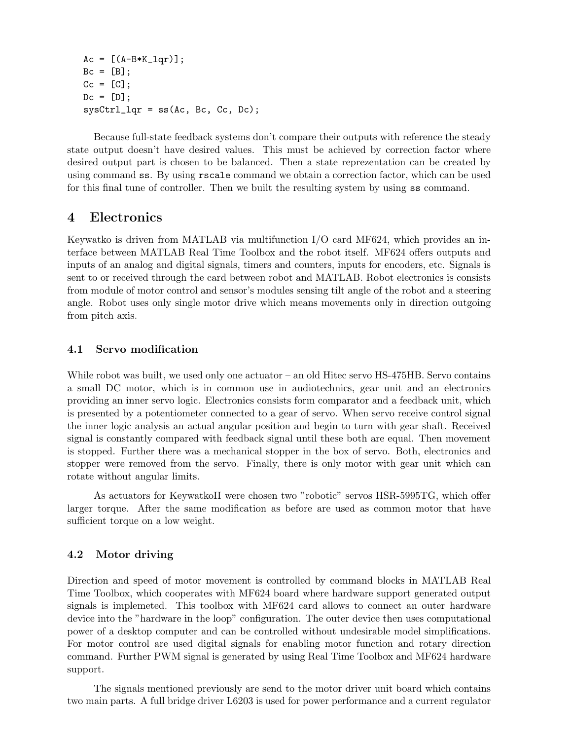```
Ac = [(A-B*K_lqr)];
Bc = [B];Cc = [C];Dc = [D];sysCtrl_lqr = ss(Ac, Bc, Cc, Dc);
```
Because full-state feedback systems don't compare their outputs with reference the steady state output doesn't have desired values. This must be achieved by correction factor where desired output part is chosen to be balanced. Then a state reprezentation can be created by using command ss. By using rscale command we obtain a correction factor, which can be used for this final tune of controller. Then we built the resulting system by using ss command.

## 4 Electronics

Keywatko is driven from MATLAB via multifunction I/O card MF624, which provides an interface between MATLAB Real Time Toolbox and the robot itself. MF624 offers outputs and inputs of an analog and digital signals, timers and counters, inputs for encoders, etc. Signals is sent to or received through the card between robot and MATLAB. Robot electronics is consists from module of motor control and sensor's modules sensing tilt angle of the robot and a steering angle. Robot uses only single motor drive which means movements only in direction outgoing from pitch axis.

#### 4.1 Servo modification

While robot was built, we used only one actuator – an old Hitec servo HS-475HB. Servo contains a small DC motor, which is in common use in audiotechnics, gear unit and an electronics providing an inner servo logic. Electronics consists form comparator and a feedback unit, which is presented by a potentiometer connected to a gear of servo. When servo receive control signal the inner logic analysis an actual angular position and begin to turn with gear shaft. Received signal is constantly compared with feedback signal until these both are equal. Then movement is stopped. Further there was a mechanical stopper in the box of servo. Both, electronics and stopper were removed from the servo. Finally, there is only motor with gear unit which can rotate without angular limits.

As actuators for KeywatkoII were chosen two "robotic" servos HSR-5995TG, which offer larger torque. After the same modification as before are used as common motor that have sufficient torque on a low weight.

#### 4.2 Motor driving

Direction and speed of motor movement is controlled by command blocks in MATLAB Real Time Toolbox, which cooperates with MF624 board where hardware support generated output signals is implemeted. This toolbox with MF624 card allows to connect an outer hardware device into the "hardware in the loop" configuration. The outer device then uses computational power of a desktop computer and can be controlled without undesirable model simplifications. For motor control are used digital signals for enabling motor function and rotary direction command. Further PWM signal is generated by using Real Time Toolbox and MF624 hardware support.

The signals mentioned previously are send to the motor driver unit board which contains two main parts. A full bridge driver L6203 is used for power performance and a current regulator